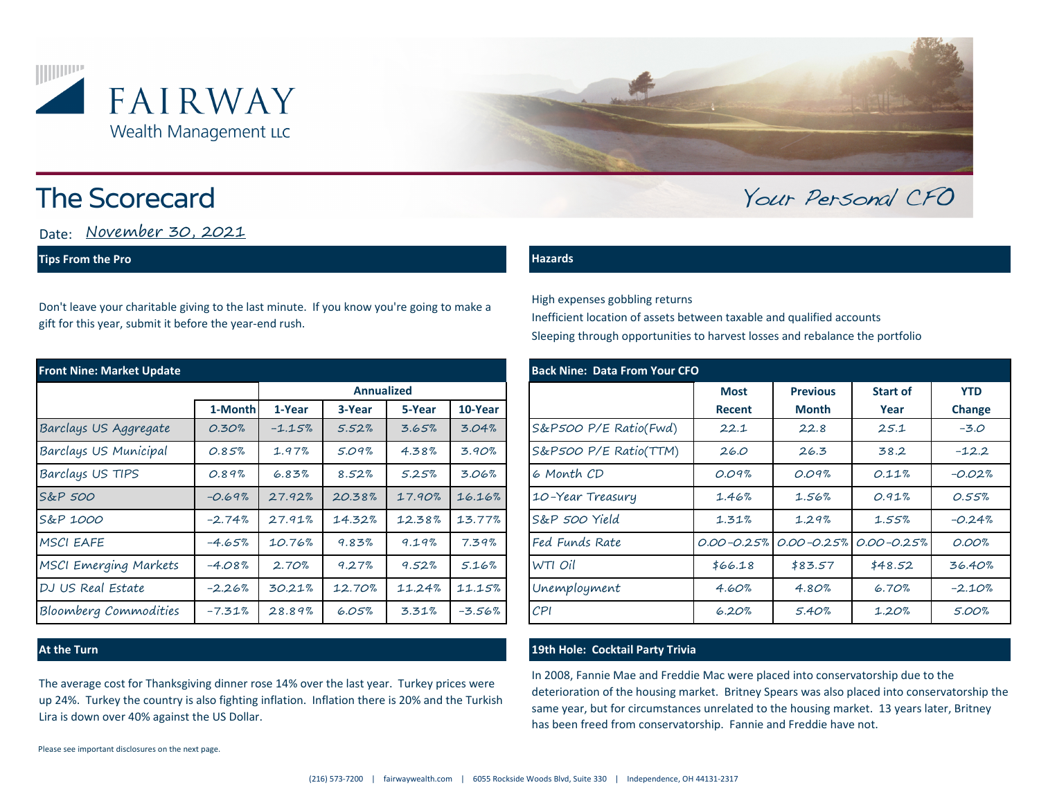



# **The Scorecard**

Date: November 30, 2021

## **Tips From the Pro**

Don't leave your charitable giving to the last minute. If you know you're going to make a gift for this year, submit it before the year-end rush.

| <b>Front Nine: Market Update</b> |          |                   |        |        |          | <b>Back Nine: Data From Your CFO</b> |                       |             |                 |                                                 |               |
|----------------------------------|----------|-------------------|--------|--------|----------|--------------------------------------|-----------------------|-------------|-----------------|-------------------------------------------------|---------------|
|                                  |          | <b>Annualized</b> |        |        |          |                                      |                       | <b>Most</b> | <b>Previous</b> | <b>Start of</b>                                 | <b>YTD</b>    |
|                                  | 1-Month  | 1-Year            | 3-Year | 5-Year | 10-Year  |                                      |                       | Recent      | <b>Month</b>    | Year                                            | <b>Change</b> |
| Barclays US Aggregate            | 0.30%    | $-1.15%$          | 5.52%  | 3.65%  | 3.04%    |                                      | S&P500 P/E Ratio(Fwd) | 22.1        | 22.8            | 25.1                                            | $-3.0$        |
| Barclays US Municipal            | 0.85%    | 1.97%             | 5.09%  | 4.38%  | 3.90%    |                                      | S&P500 P/E Ratio(TTM) | 26.0        | 26.3            | 38.2                                            | $-12.2$       |
| Barclays US TIPS                 | 0.89%    | 6.83%             | 8.52%  | 5.25%  | 3.06%    |                                      | 6 Month CD            | 0.09%       | 0.09%           | 0.11%                                           | $-0.02%$      |
| S&P 500                          | $-0.69%$ | 27.92%            | 20.38% | 17.90% | 16.16%   |                                      | 10-Year Treasury      | 1.46%       | 1.56%           | 0.91%                                           | 0.55%         |
| S&P 1000                         | $-2.74%$ | 27.91%            | 14.32% | 12.38% | 13.77%   |                                      | S&P 500 Yield         | 1.31%       | 1.29%           | 1.55%                                           | $-0.24%$      |
| <b>MSCI EAFE</b>                 | $-4.65%$ | 10.76%            | 9.83%  | 9.19%  | 7.39%    |                                      | Fed Funds Rate        |             |                 | $0.00 - 0.25\%$ $0.00 - 0.25\%$ $0.00 - 0.25\%$ | 0.00%         |
| <b>MSCI Emerging Markets</b>     | $-4.08%$ | 2.70%             | 9.27%  | 9.52%  | 5.16%    |                                      | WTI Oil               | \$66.18     | \$83.57         | \$48.52                                         | 36.40%        |
| DJ US Real Estate                | $-2.26%$ | 30.21%            | 12.70% | 11.24% | 11.15%   |                                      | Unemployment          | 4.60%       | 4.80%           | 6.70%                                           | $-2.10%$      |
| <b>Bloomberg Commodities</b>     | $-7.31%$ | 28.89%            | 6.05%  | 3.31%  | $-3.56%$ |                                      | $\mathcal{C}$ PI      | 6.20%       | 5.40%           | 1.20%                                           | 5.00%         |

The average cost for Thanksgiving dinner rose 14% over the last year. Turkey prices were up 24%. Turkey the country is also fighting inflation. Inflation there is 20% and the Turkish Lira is down over 40% against the US Dollar.

### **Hazards**

High expenses gobbling returns Inefficient location of assets between taxable and qualified accounts Sleeping through opportunities to harvest losses and rebalance the portfolio

|           |                   |        |        | <b>Back Nine: Data From Your CFO</b> |                       |                |                 |                 |               |  |  |
|-----------|-------------------|--------|--------|--------------------------------------|-----------------------|----------------|-----------------|-----------------|---------------|--|--|
|           | <b>Annualized</b> |        |        |                                      |                       | <b>Most</b>    | <b>Previous</b> | <b>Start of</b> | <b>YTD</b>    |  |  |
| 1-Month   | 1-Year            | 3-Year | 5-Year | 10-Year                              |                       | Recent         | <b>Month</b>    | Year            | <b>Change</b> |  |  |
| 0.30%     | $-1.15%$          | 5.52%  | 3.65%  | 3.04%                                | S&P500 P/E Ratio(Fwd) | 22.1           | 22.8            | 25.1            | $-3.0$        |  |  |
| 0.85%     | 1.97%             | 5.09%  | 4.38%  | 3.90%                                | S&P500 P/E Ratio(TTM) | 26.0           | 26.3            | 38.2            | $-12.2$       |  |  |
| 0.89%     | 6.83%             | 8.52%  | 5.25%  | 3.06%                                | 6 Month CD            | 0.09%          | 0.09%           | 0.11%           | $-0.02%$      |  |  |
| $-0.69%$  | 27.92%            | 20.38% | 17.90% | 16.16%                               | 10-Year Treasury      | 1.46%          | 1.56%           | 0.91%           | 0.55%         |  |  |
| $-2.74\%$ | 27.91%            | 14.32% | 12.38% | 13.77%                               | S&P 500 Yield         | 1.31%          | 1.29%           | 1.55%           | $-0.24%$      |  |  |
| -4.65%    | 10.76%            | 9.83%  | 9.19%  | 7.39%                                | Fed Funds Rate        | $0.00 - 0.25%$ | $0.00 - 0.25%$  | $0.00 - 0.25%$  | 0.00%         |  |  |
| $-4.08\%$ | 2.70%             | 9.27%  | 9.52%  | 5.16%                                | WTI Oil               | \$66.18        | \$83.57         | \$48.52         | 36.40%        |  |  |
| $-2.26\%$ | 30.21%            | 12.70% | 11.24% | 11.15%                               | Unemployment          | 4.60%          | 4.80%           | 6.70%           | $-2.10%$      |  |  |
| -7.31%    | 28.89%            | 6.05%  | 3.31%  | $-3.56%$                             | CPI                   | 6.20%          | 5.40%           | 1.20%           | 5.00%         |  |  |

Your Personal CFO

## **At the Turn 19th Hole: Cocktail Party Trivia**

In 2008, Fannie Mae and Freddie Mac were placed into conservatorship due to the deterioration of the housing market. Britney Spears was also placed into conservatorship the same year, but for circumstances unrelated to the housing market. 13 years later, Britney has been freed from conservatorship. Fannie and Freddie have not.

Please see important disclosures on the next page.